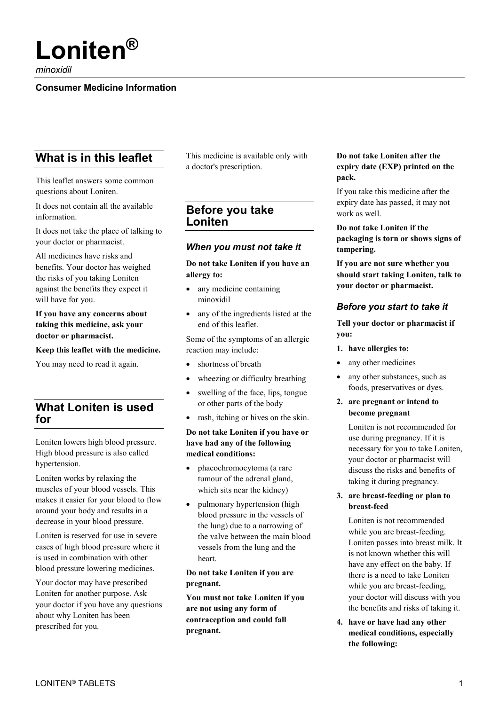# **Loniten®**

*minoxidil*

#### **Consumer Medicine Information**

# **What is in this leaflet**

This leaflet answers some common questions about Loniten.

It does not contain all the available information.

It does not take the place of talking to your doctor or pharmacist.

All medicines have risks and benefits. Your doctor has weighed the risks of you taking Loniten against the benefits they expect it will have for you.

#### **If you have any concerns about taking this medicine, ask your doctor or pharmacist.**

#### **Keep this leaflet with the medicine.**

You may need to read it again.

# **What Loniten is used for**

Loniten lowers high blood pressure. High blood pressure is also called hypertension.

Loniten works by relaxing the muscles of your blood vessels. This makes it easier for your blood to flow around your body and results in a decrease in your blood pressure.

Loniten is reserved for use in severe cases of high blood pressure where it is used in combination with other blood pressure lowering medicines.

Your doctor may have prescribed Loniten for another purpose. Ask your doctor if you have any questions about why Loniten has been prescribed for you.

This medicine is available only with a doctor's prescription.

# **Before you take Loniten**

#### *When you must not take it*

#### **Do not take Loniten if you have an allergy to:**

- any medicine containing minoxidil
- any of the ingredients listed at the end of this leaflet.

Some of the symptoms of an allergic reaction may include:

- shortness of breath
- wheezing or difficulty breathing
- swelling of the face, lips, tongue or other parts of the body
- rash, itching or hives on the skin.

#### **Do not take Loniten if you have or have had any of the following medical conditions:**

- phaeochromocytoma (a rare tumour of the adrenal gland, which sits near the kidney)
- pulmonary hypertension (high blood pressure in the vessels of the lung) due to a narrowing of the valve between the main blood vessels from the lung and the heart.

#### **Do not take Loniten if you are pregnant.**

**You must not take Loniten if you are not using any form of contraception and could fall pregnant.**

#### **Do not take Loniten after the expiry date (EXP) printed on the pack.**

If you take this medicine after the expiry date has passed, it may not work as well.

**Do not take Loniten if the packaging is torn or shows signs of tampering.**

**If you are not sure whether you should start taking Loniten, talk to your doctor or pharmacist.**

## *Before you start to take it*

**Tell your doctor or pharmacist if you:**

- **1. have allergies to:**
- any other medicines
- any other substances, such as foods, preservatives or dyes.
- **2. are pregnant or intend to become pregnant**

Loniten is not recommended for use during pregnancy. If it is necessary for you to take Loniten, your doctor or pharmacist will discuss the risks and benefits of taking it during pregnancy.

**3. are breast-feeding or plan to breast-feed**

Loniten is not recommended while you are breast-feeding. Loniten passes into breast milk. It is not known whether this will have any effect on the baby. If there is a need to take Loniten while you are breast-feeding, your doctor will discuss with you the benefits and risks of taking it.

**4. have or have had any other medical conditions, especially the following:**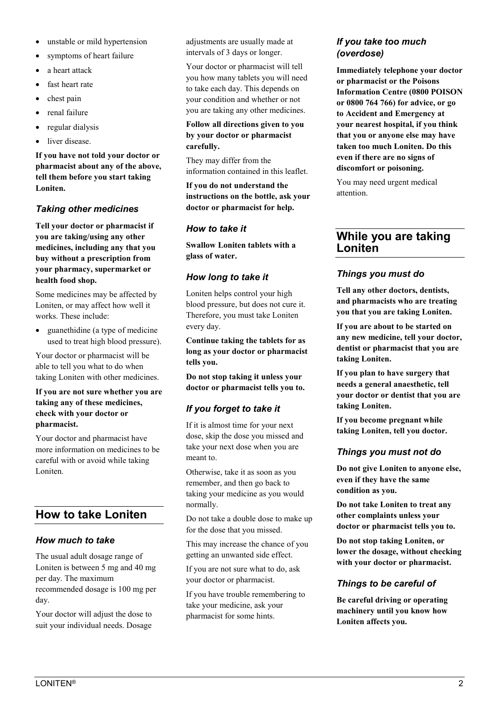- unstable or mild hypertension
- symptoms of heart failure
- a heart attack
- fast heart rate
- chest pain
- renal failure
- regular dialysis
- liver disease.

**If you have not told your doctor or pharmacist about any of the above, tell them before you start taking Loniten.**

#### *Taking other medicines*

**Tell your doctor or pharmacist if you are taking/using any other medicines, including any that you buy without a prescription from your pharmacy, supermarket or health food shop.**

Some medicines may be affected by Loniten, or may affect how well it works. These include:

• guanethidine (a type of medicine used to treat high blood pressure).

Your doctor or pharmacist will be able to tell you what to do when taking Loniten with other medicines.

**If you are not sure whether you are taking any of these medicines, check with your doctor or pharmacist.**

Your doctor and pharmacist have more information on medicines to be careful with or avoid while taking Loniten.

# **How to take Loniten**

#### *How much to take*

The usual adult dosage range of Loniten is between 5 mg and 40 mg per day. The maximum recommended dosage is 100 mg per day.

Your doctor will adjust the dose to suit your individual needs. Dosage

adjustments are usually made at intervals of 3 days or longer.

Your doctor or pharmacist will tell you how many tablets you will need to take each day. This depends on your condition and whether or not you are taking any other medicines.

#### **Follow all directions given to you by your doctor or pharmacist carefully.**

They may differ from the information contained in this leaflet.

**If you do not understand the instructions on the bottle, ask your doctor or pharmacist for help.**

## *How to take it*

**Swallow Loniten tablets with a glass of water.**

# *How long to take it*

Loniten helps control your high blood pressure, but does not cure it. Therefore, you must take Loniten every day.

**Continue taking the tablets for as long as your doctor or pharmacist tells you.**

**Do not stop taking it unless your doctor or pharmacist tells you to.**

# *If you forget to take it*

If it is almost time for your next dose, skip the dose you missed and take your next dose when you are meant to.

Otherwise, take it as soon as you remember, and then go back to taking your medicine as you would normally.

Do not take a double dose to make up for the dose that you missed.

This may increase the chance of you getting an unwanted side effect.

If you are not sure what to do, ask your doctor or pharmacist.

If you have trouble remembering to take your medicine, ask your pharmacist for some hints.

#### *If you take too much (overdose)*

**Immediately telephone your doctor or pharmacist or the Poisons Information Centre (0800 POISON or 0800 764 766) for advice, or go to Accident and Emergency at your nearest hospital, if you think that you or anyone else may have taken too much Loniten. Do this even if there are no signs of discomfort or poisoning.**

You may need urgent medical attention.

# **While you are taking Loniten**

# *Things you must do*

**Tell any other doctors, dentists, and pharmacists who are treating you that you are taking Loniten.**

**If you are about to be started on any new medicine, tell your doctor, dentist or pharmacist that you are taking Loniten.**

**If you plan to have surgery that needs a general anaesthetic, tell your doctor or dentist that you are taking Loniten.**

**If you become pregnant while taking Loniten, tell you doctor.**

## *Things you must not do*

**Do not give Loniten to anyone else, even if they have the same condition as you.**

**Do not take Loniten to treat any other complaints unless your doctor or pharmacist tells you to.**

**Do not stop taking Loniten, or lower the dosage, without checking with your doctor or pharmacist.**

## *Things to be careful of*

**Be careful driving or operating machinery until you know how Loniten affects you.**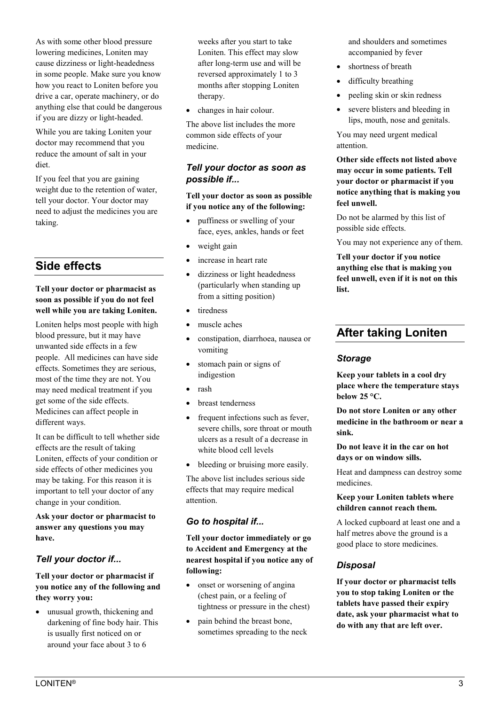While you are taking Loniten your doctor may recommend that you reduce the amount of salt in your diet.

If you feel that you are gaining weight due to the retention of water, tell your doctor. Your doctor may need to adjust the medicines you are taking.

# **Side effects**

#### **Tell your doctor or pharmacist as soon as possible if you do not feel well while you are taking Loniten.**

Loniten helps most people with high blood pressure, but it may have unwanted side effects in a few people. All medicines can have side effects. Sometimes they are serious, most of the time they are not. You may need medical treatment if you get some of the side effects. Medicines can affect people in different ways.

It can be difficult to tell whether side effects are the result of taking Loniten, effects of your condition or side effects of other medicines you may be taking. For this reason it is important to tell your doctor of any change in your condition.

**Ask your doctor or pharmacist to answer any questions you may have.**

# *Tell your doctor if...*

#### **Tell your doctor or pharmacist if you notice any of the following and they worry you:**

• unusual growth, thickening and darkening of fine body hair. This is usually first noticed on or around your face about 3 to 6

weeks after you start to take Loniten. This effect may slow after long-term use and will be reversed approximately 1 to 3 months after stopping Loniten therapy.

• changes in hair colour.

The above list includes the more common side effects of your medicine.

# *Tell your doctor as soon as possible if...*

#### **Tell your doctor as soon as possible if you notice any of the following:**

- puffiness or swelling of your face, eyes, ankles, hands or feet
- weight gain
- increase in heart rate
- dizziness or light headedness (particularly when standing up from a sitting position)
- tiredness
- muscle aches
- constipation, diarrhoea, nausea or vomiting
- stomach pain or signs of indigestion
- rash
- breast tenderness
- frequent infections such as fever, severe chills, sore throat or mouth ulcers as a result of a decrease in white blood cell levels
- bleeding or bruising more easily.

The above list includes serious side effects that may require medical attention.

# *Go to hospital if...*

**Tell your doctor immediately or go to Accident and Emergency at the nearest hospital if you notice any of following:**

- onset or worsening of angina (chest pain, or a feeling of tightness or pressure in the chest)
- pain behind the breast bone, sometimes spreading to the neck

and shoulders and sometimes accompanied by fever

- shortness of breath
- difficulty breathing
- peeling skin or skin redness
- severe blisters and bleeding in lips, mouth, nose and genitals.

You may need urgent medical attention.

**Other side effects not listed above may occur in some patients. Tell your doctor or pharmacist if you notice anything that is making you feel unwell.**

Do not be alarmed by this list of possible side effects.

You may not experience any of them.

**Tell your doctor if you notice anything else that is making you feel unwell, even if it is not on this list.**

# **After taking Loniten**

## *Storage*

**Keep your tablets in a cool dry place where the temperature stays below 25 °C.**

**Do not store Loniten or any other medicine in the bathroom or near a sink.**

**Do not leave it in the car on hot days or on window sills.**

Heat and dampness can destroy some medicines.

#### **Keep your Loniten tablets where children cannot reach them.**

A locked cupboard at least one and a half metres above the ground is a good place to store medicines.

# *Disposal*

**If your doctor or pharmacist tells you to stop taking Loniten or the tablets have passed their expiry date, ask your pharmacist what to do with any that are left over.**